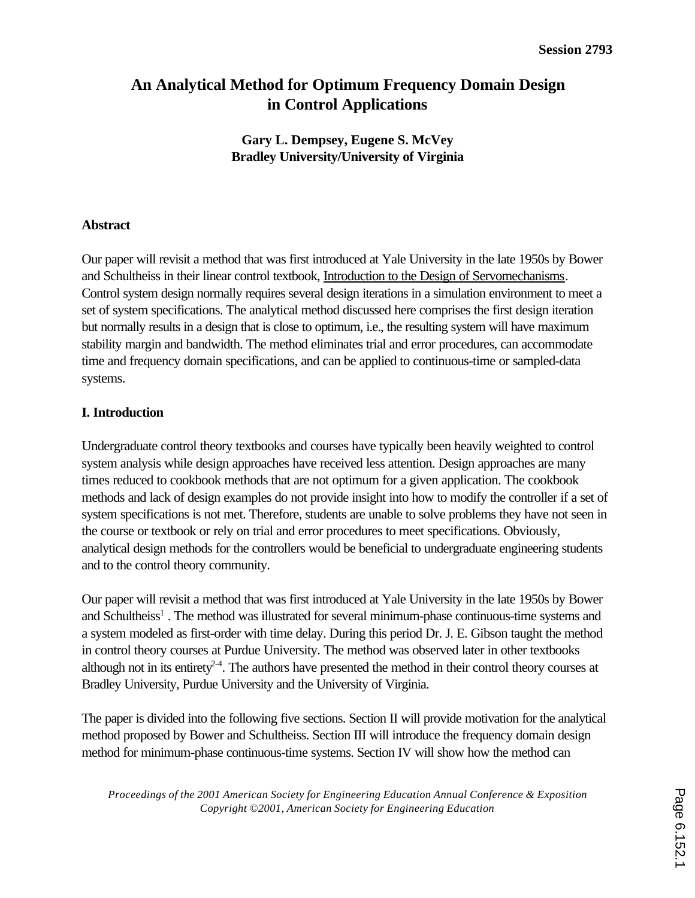# **An Analytical Method for Optimum Frequency Domain Design in Control Applications**

**Gary L. Dempsey, Eugene S. McVey Bradley University/University of Virginia**

### **Abstract**

Our paper will revisit a method that was first introduced at Yale University in the late 1950s by Bower and Schultheiss in their linear control textbook, Introduction to the Design of Servomechanisms. Control system design normally requires several design iterations in a simulation environment to meet a set of system specifications. The analytical method discussed here comprises the first design iteration but normally results in a design that is close to optimum, i.e., the resulting system will have maximum stability margin and bandwidth. The method eliminates trial and error procedures, can accommodate time and frequency domain specifications, and can be applied to continuous-time or sampled-data systems.

## **I. Introduction**

Undergraduate control theory textbooks and courses have typically been heavily weighted to control system analysis while design approaches have received less attention. Design approaches are many times reduced to cookbook methods that are not optimum for a given application. The cookbook methods and lack of design examples do not provide insight into how to modify the controller if a set of system specifications is not met. Therefore, students are unable to solve problems they have not seen in the course or textbook or rely on trial and error procedures to meet specifications. Obviously, analytical design methods for the controllers would be beneficial to undergraduate engineering students and to the control theory community.

Our paper will revisit a method that was first introduced at Yale University in the late 1950s by Bower and Schultheiss<sup>1</sup>. The method was illustrated for several minimum-phase continuous-time systems and a system modeled as first-order with time delay. During this period Dr. J. E. Gibson taught the method in control theory courses at Purdue University. The method was observed later in other textbooks although not in its entirety<sup>2-4</sup>. The authors have presented the method in their control theory courses at Bradley University, Purdue University and the University of Virginia.

The paper is divided into the following five sections. Section II will provide motivation for the analytical method proposed by Bower and Schultheiss. Section III will introduce the frequency domain design method for minimum-phase continuous-time systems. Section IV will show how the method can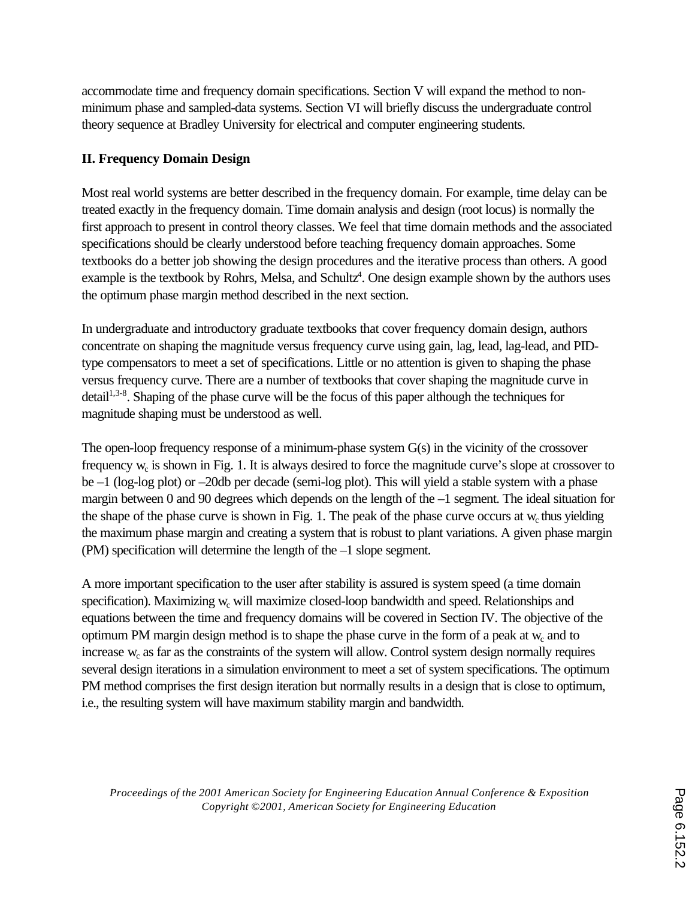accommodate time and frequency domain specifications. Section V will expand the method to nonminimum phase and sampled-data systems. Section VI will briefly discuss the undergraduate control theory sequence at Bradley University for electrical and computer engineering students.

## **II. Frequency Domain Design**

Most real world systems are better described in the frequency domain. For example, time delay can be treated exactly in the frequency domain. Time domain analysis and design (root locus) is normally the first approach to present in control theory classes. We feel that time domain methods and the associated specifications should be clearly understood before teaching frequency domain approaches. Some textbooks do a better job showing the design procedures and the iterative process than others. A good example is the textbook by Rohrs, Melsa, and Schultz<sup>4</sup>. One design example shown by the authors uses the optimum phase margin method described in the next section.

In undergraduate and introductory graduate textbooks that cover frequency domain design, authors concentrate on shaping the magnitude versus frequency curve using gain, lag, lead, lag-lead, and PIDtype compensators to meet a set of specifications. Little or no attention is given to shaping the phase versus frequency curve. There are a number of textbooks that cover shaping the magnitude curve in  $\delta$  detail<sup>1,3-8</sup>. Shaping of the phase curve will be the focus of this paper although the techniques for magnitude shaping must be understood as well.

The open-loop frequency response of a minimum-phase system G(s) in the vicinity of the crossover frequency  $w_c$  is shown in Fig. 1. It is always desired to force the magnitude curve's slope at crossover to be –1 (log-log plot) or –20db per decade (semi-log plot). This will yield a stable system with a phase margin between 0 and 90 degrees which depends on the length of the –1 segment. The ideal situation for the shape of the phase curve is shown in Fig. 1. The peak of the phase curve occurs at  $w_c$  thus yielding the maximum phase margin and creating a system that is robust to plant variations. A given phase margin (PM) specification will determine the length of the –1 slope segment.

A more important specification to the user after stability is assured is system speed (a time domain specification). Maximizing w<sub>c</sub> will maximize closed-loop bandwidth and speed. Relationships and equations between the time and frequency domains will be covered in Section IV. The objective of the optimum PM margin design method is to shape the phase curve in the form of a peak at  $w_c$  and to increase  $w_c$  as far as the constraints of the system will allow. Control system design normally requires several design iterations in a simulation environment to meet a set of system specifications. The optimum PM method comprises the first design iteration but normally results in a design that is close to optimum, i.e., the resulting system will have maximum stability margin and bandwidth.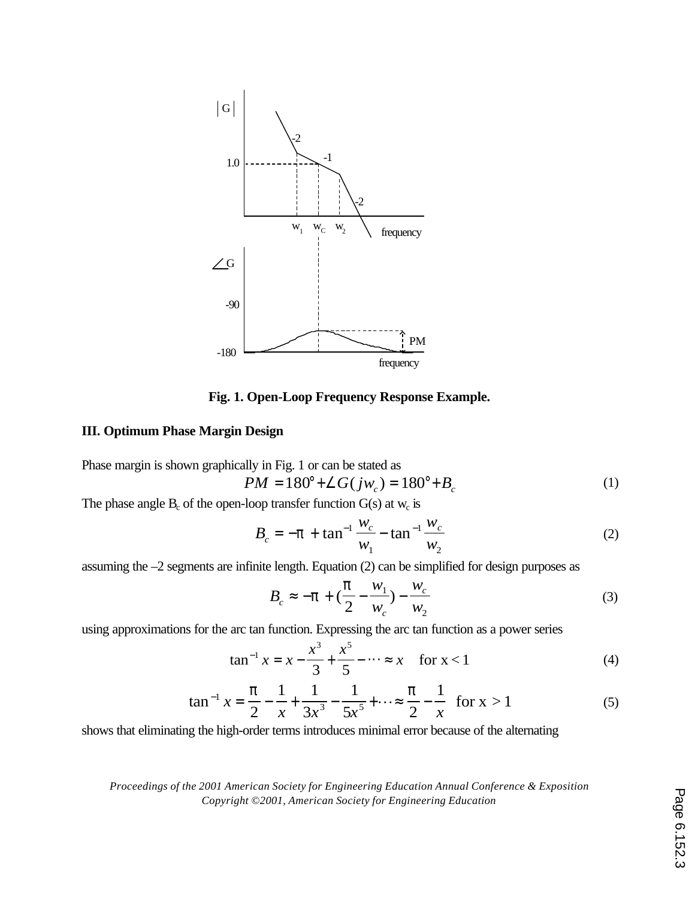

**Fig. 1. Open-Loop Frequency Response Example.**

### **III. Optimum Phase Margin Design**

Phase margin is shown graphically in Fig. 1 or can be stated as

$$
PM = 180^{\circ} + \angle G(jw_c) = 180^{\circ} + B_c \tag{1}
$$

The phase angle  $B_c$  of the open-loop transfer function  $G(s)$  at  $w_c$  is

$$
B_c = -p + \tan^{-1} \frac{w_c}{w_1} - \tan^{-1} \frac{w_c}{w_2}
$$
 (2)

assuming the –2 segments are infinite length. Equation (2) can be simplified for design purposes as

$$
B_c \approx -\mathbf{p} + \left(\frac{\mathbf{p}}{2} - \frac{w_1}{w_c}\right) - \frac{w_c}{w_2}
$$
 (3)

using approximations for the arc tan function. Expressing the arc tan function as a power series

$$
\tan^{-1} x = x - \frac{x^3}{3} + \frac{x^5}{5} - \dots \approx x \quad \text{for } x < 1 \tag{4}
$$

$$
\tan^{-1} x = \frac{p}{2} - \frac{1}{x} + \frac{1}{3x^3} - \frac{1}{5x^5} + \dots \approx \frac{p}{2} - \frac{1}{x} \quad \text{for } x > 1 \tag{5}
$$

shows that eliminating the high-order terms introduces minimal error because of the alternating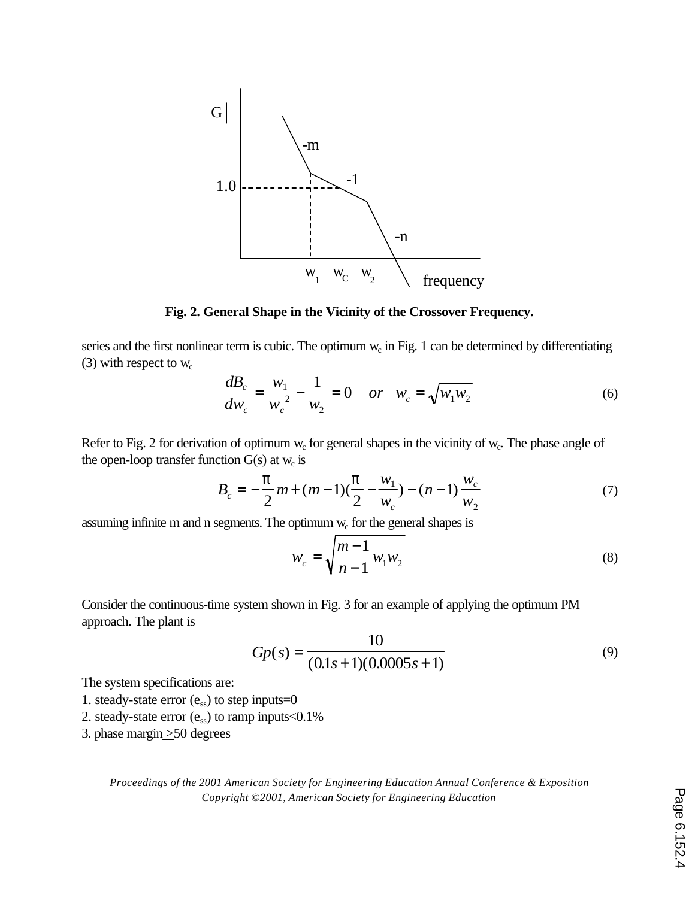

**Fig. 2. General Shape in the Vicinity of the Crossover Frequency.**

series and the first nonlinear term is cubic. The optimum  $w_c$  in Fig. 1 can be determined by differentiating (3) with respect to  $w_c$ 

$$
\frac{dB_c}{dw_c} = \frac{w_1}{w_c^2} - \frac{1}{w_2} = 0 \quad or \quad w_c = \sqrt{w_1 w_2}
$$
 (6)

Refer to Fig. 2 for derivation of optimum  $w_c$  for general shapes in the vicinity of  $w_c$ . The phase angle of the open-loop transfer function  $G(s)$  at  $w_c$  is

$$
B_c = -\frac{p}{2}m + (m-1)\left(\frac{p}{2} - \frac{w_1}{w_c}\right) - (n-1)\frac{w_c}{w_2}
$$
 (7)

assuming infinite m and n segments. The optimum  $w_c$  for the general shapes is

$$
w_c = \sqrt{\frac{m-1}{n-1} w_1 w_2}
$$
 (8)

Consider the continuous-time system shown in Fig. 3 for an example of applying the optimum PM approach. The plant is

$$
Gp(s) = \frac{10}{(0.1s + 1)(0.0005s + 1)}
$$
\n(9)

The system specifications are:

- 1. steady-state error  $(e_{ss})$  to step inputs=0
- 2. steady-state error  $(e_{ss})$  to ramp inputs < 0.1%
- 3. phase margin  $\geq$  50 degrees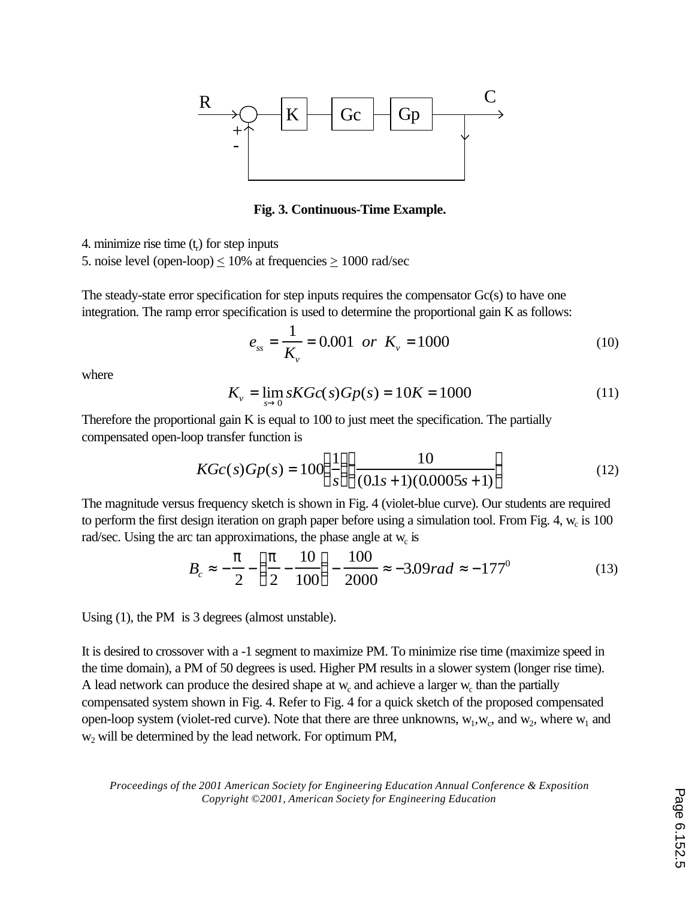

**Fig. 3. Continuous-Time Example.**

4. minimize rise time  $(t_r)$  for step inputs

5. noise level (open-loop)  $\leq 10\%$  at frequencies  $\geq 1000$  rad/sec

The steady-state error specification for step inputs requires the compensator  $Gc(s)$  to have one integration. The ramp error specification is used to determine the proportional gain K as follows:

$$
e_{ss} = \frac{1}{K_v} = 0.001 \text{ or } K_v = 1000 \tag{10}
$$

where

$$
K_{\nu} = \lim_{s \to 0} sKGc(s)Gp(s) = 10K = 1000
$$
 (11)

Therefore the proportional gain K is equal to 100 to just meet the specification. The partially compensated open-loop transfer function is

$$
KGc(s)Gp(s) = 100\left(\frac{1}{s}\right)\left(\frac{10}{(0.1s+1)(0.0005s+1)}\right)
$$
(12)

The magnitude versus frequency sketch is shown in Fig. 4 (violet-blue curve). Our students are required to perform the first design iteration on graph paper before using a simulation tool. From Fig. 4,  $w_c$  is 100 rad/sec. Using the arc tan approximations, the phase angle at  $w_c$  is

$$
B_c \approx -\frac{p}{2} - \left(\frac{p}{2} - \frac{10}{100}\right) - \frac{100}{2000} \approx -3.09 rad \approx -177^0 \tag{13}
$$

Using (1), the PM is 3 degrees (almost unstable).

It is desired to crossover with a -1 segment to maximize PM. To minimize rise time (maximize speed in the time domain), a PM of 50 degrees is used. Higher PM results in a slower system (longer rise time). A lead network can produce the desired shape at  $w_c$  and achieve a larger  $w_c$  than the partially compensated system shown in Fig. 4. Refer to Fig. 4 for a quick sketch of the proposed compensated open-loop system (violet-red curve). Note that there are three unknowns,  $w_1, w_c$ , and  $w_2$ , where  $w_1$  and w2 will be determined by the lead network. For optimum PM,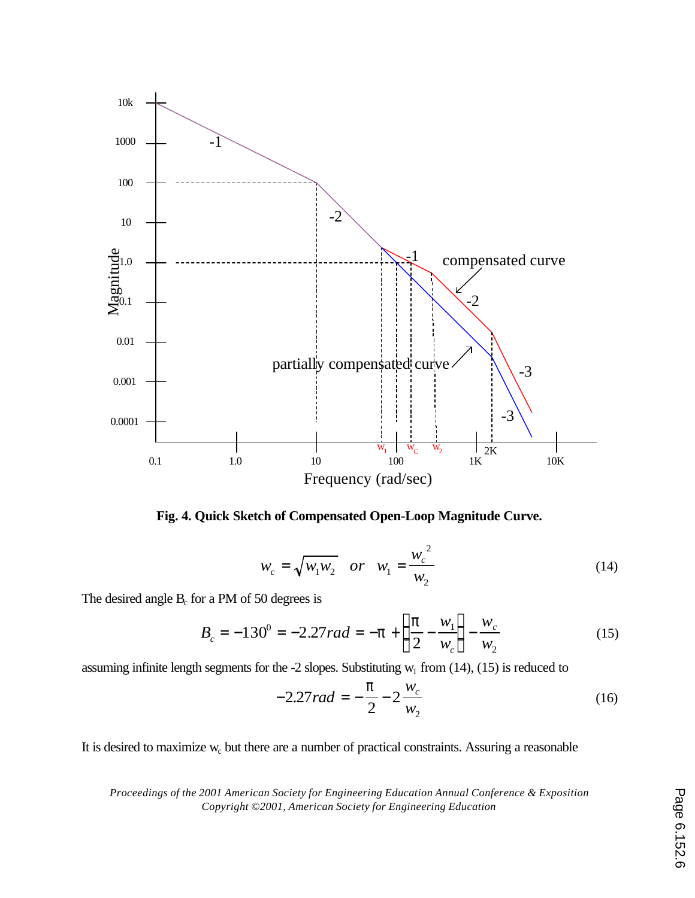

**Fig. 4. Quick Sketch of Compensated Open-Loop Magnitude Curve.**

$$
w_c = \sqrt{w_1 w_2} \quad or \quad w_1 = \frac{w_c^2}{w_2}
$$
 (14)

The desired angle  $B_c$  for a PM of 50 degrees is

$$
B_c = -130^0 = -2.27 rad = -p + \left(\frac{p}{2} - \frac{w_1}{w_c}\right) - \frac{w_c}{w_2}
$$
(15)

assuming infinite length segments for the -2 slopes. Substituting  $w_1$  from (14), (15) is reduced to

$$
-2.27 rad = -\frac{p}{2} - 2\frac{w_c}{w_2}
$$
 (16)

It is desired to maximize  $w_c$  but there are a number of practical constraints. Assuring a reasonable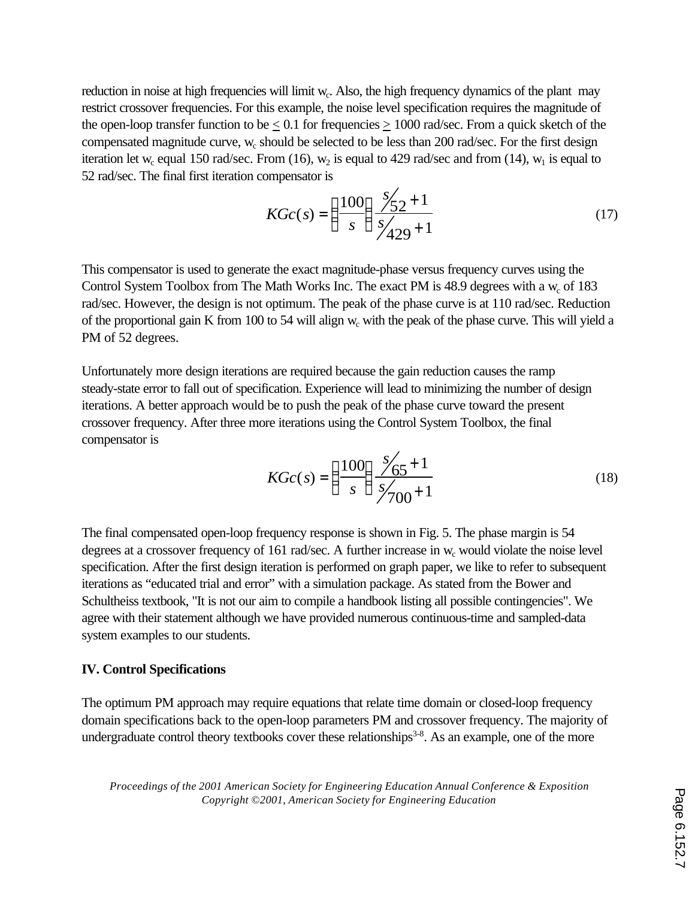reduction in noise at high frequencies will limit w<sub>c</sub>. Also, the high frequency dynamics of the plant may restrict crossover frequencies. For this example, the noise level specification requires the magnitude of the open-loop transfer function to be  $\leq 0.1$  for frequencies  $\geq 1000$  rad/sec. From a quick sketch of the compensated magnitude curve, w<sub>c</sub> should be selected to be less than 200 rad/sec. For the first design iteration let w<sub>c</sub> equal 150 rad/sec. From (16),  $w_2$  is equal to 429 rad/sec and from (14),  $w_1$  is equal to 52 rad/sec. The final first iteration compensator is

$$
KGc(s) = \left(\frac{100}{s}\right) \frac{s/2 + 1}{s/429 + 1}
$$
\n(17)

This compensator is used to generate the exact magnitude-phase versus frequency curves using the Control System Toolbox from The Math Works Inc. The exact PM is 48.9 degrees with a  $w_c$  of 183 rad/sec. However, the design is not optimum. The peak of the phase curve is at 110 rad/sec. Reduction of the proportional gain K from 100 to 54 will align  $w_c$  with the peak of the phase curve. This will yield a PM of 52 degrees.

Unfortunately more design iterations are required because the gain reduction causes the ramp steady-state error to fall out of specification. Experience will lead to minimizing the number of design iterations. A better approach would be to push the peak of the phase curve toward the present crossover frequency. After three more iterations using the Control System Toolbox, the final compensator is

$$
KGc(s) = \left(\frac{100}{s}\right) \frac{s/65 + 1}{s/700 + 1}
$$
\n(18)

The final compensated open-loop frequency response is shown in Fig. 5. The phase margin is 54 degrees at a crossover frequency of  $161$  rad/sec. A further increase in  $w_c$  would violate the noise level specification. After the first design iteration is performed on graph paper, we like to refer to subsequent iterations as "educated trial and error" with a simulation package. As stated from the Bower and Schultheiss textbook, "It is not our aim to compile a handbook listing all possible contingencies". We agree with their statement although we have provided numerous continuous-time and sampled-data system examples to our students.

### **IV. Control Specifications**

The optimum PM approach may require equations that relate time domain or closed-loop frequency domain specifications back to the open-loop parameters PM and crossover frequency. The majority of undergraduate control theory textbooks cover these relationships<sup>3-8</sup>. As an example, one of the more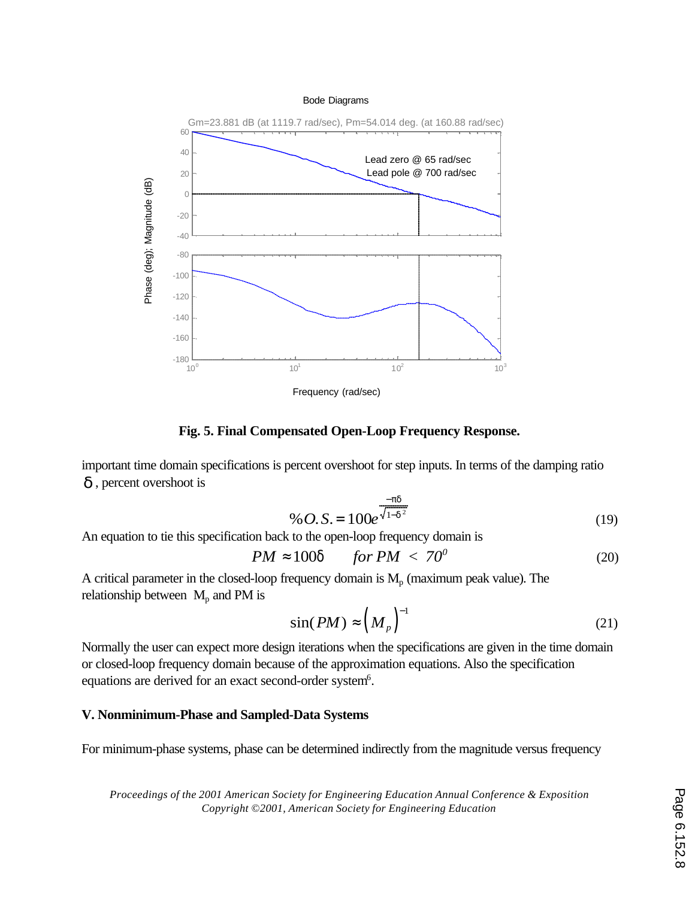

**Fig. 5. Final Compensated Open-Loop Frequency Response.**

important time domain specifications is percent overshoot for step inputs. In terms of the damping ratio *d* , percent overshoot is

$$
\% O.S. = 100e^{\frac{-pd}{\sqrt{1-d^2}}}
$$
\n(19)

An equation to tie this specification back to the open-loop frequency domain is

$$
PM \approx 100d \quad for PM < 70^0 \tag{20}
$$

A critical parameter in the closed-loop frequency domain is  $M_p$  (maximum peak value). The relationship between  $M_{\text{p}}$  and PM is

$$
\sin(PM) \approx \left(M_p\right)^{-1} \tag{21}
$$

Normally the user can expect more design iterations when the specifications are given in the time domain or closed-loop frequency domain because of the approximation equations. Also the specification equations are derived for an exact second-order system<sup>6</sup>.

### **V. Nonminimum-Phase and Sampled-Data Systems**

For minimum-phase systems, phase can be determined indirectly from the magnitude versus frequency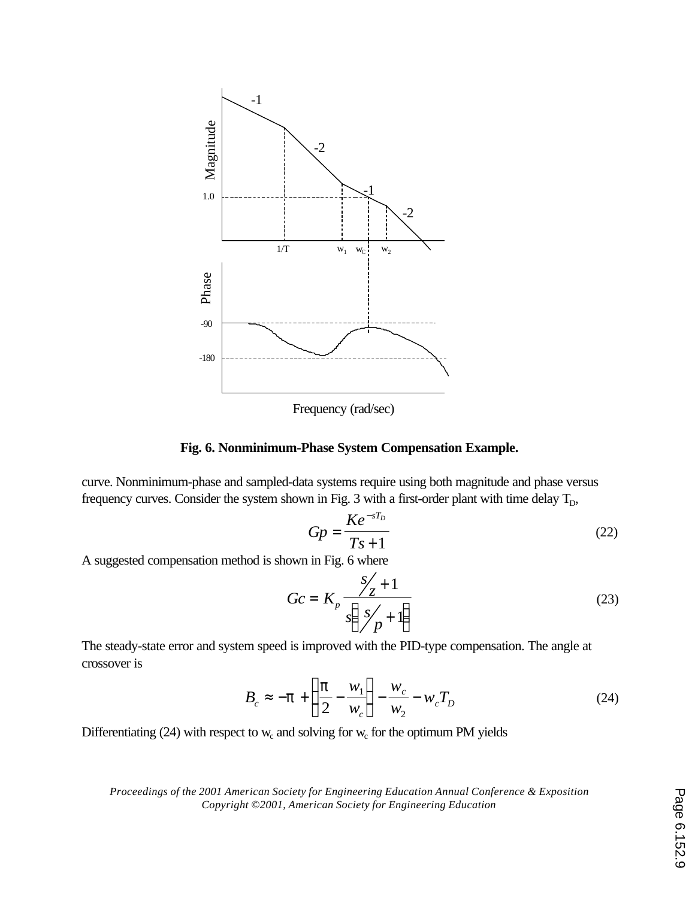



curve. Nonminimum-phase and sampled-data systems require using both magnitude and phase versus frequency curves. Consider the system shown in Fig. 3 with a first-order plant with time delay  $T_D$ ,

$$
Gp = \frac{Ke^{-sT_D}}{Ts+1}
$$
 (22)

A suggested compensation method is shown in Fig. 6 where

$$
Gc = K_p \frac{s/2 + 1}{s\left(\frac{s/2 + 1}{p} + 1\right)}\tag{23}
$$

The steady-state error and system speed is improved with the PID-type compensation. The angle at crossover is

$$
B_c \approx -\mathbf{p} + \left(\frac{\mathbf{p}}{2} - \frac{w_1}{w_c}\right) - \frac{w_c}{w_2} - w_c T_D \tag{24}
$$

Differentiating (24) with respect to  $w_c$  and solving for  $w_c$  for the optimum PM yields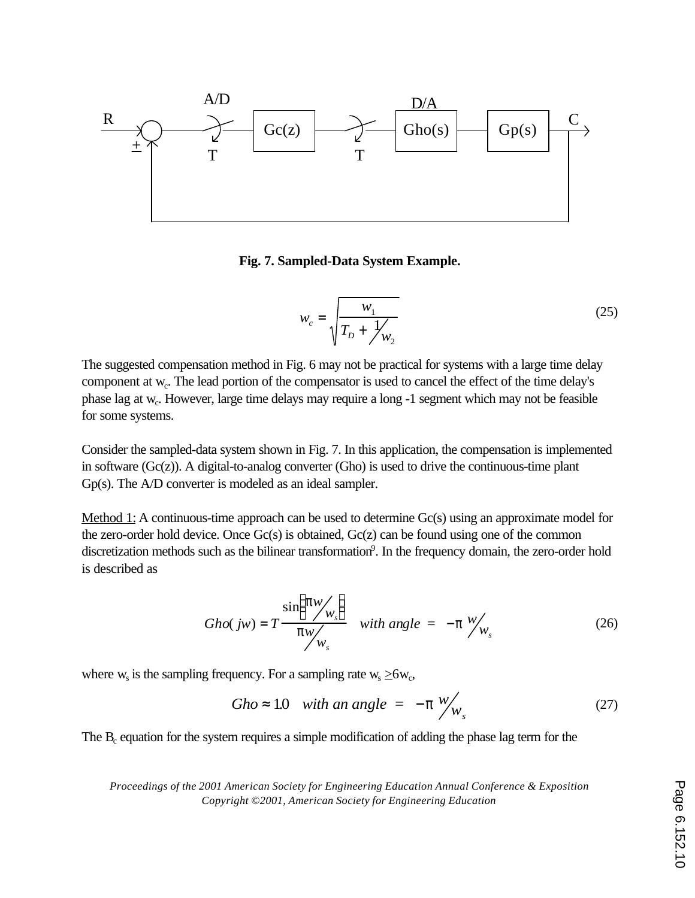

**Fig. 7. Sampled-Data System Example.**

$$
w_c = \sqrt{\frac{w_1}{T_D + \frac{1}{\mu_2}}}
$$
 (25)

The suggested compensation method in Fig. 6 may not be practical for systems with a large time delay component at  $w_c$ . The lead portion of the compensator is used to cancel the effect of the time delay's phase lag at w<sub>c</sub>. However, large time delays may require a long -1 segment which may not be feasible for some systems.

Consider the sampled-data system shown in Fig. 7. In this application, the compensation is implemented in software  $(Gc(z))$ . A digital-to-analog converter  $(Gho)$  is used to drive the continuous-time plant Gp(s). The A/D converter is modeled as an ideal sampler.

Method 1: A continuous-time approach can be used to determine Gc(s) using an approximate model for the zero-order hold device. Once Gc(s) is obtained, Gc(z) can be found using one of the common discretization methods such as the bilinear transformation<sup>9</sup>. In the frequency domain, the zero-order hold is described as

$$
Gho(jw) = T \frac{\sin(Pw/v_s)}{pw/v_s} \quad \text{with angle} = -p \, \frac{w}{w_s} \tag{26}
$$

where  $w_s$  is the sampling frequency. For a sampling rate  $w_s \ge 6w_c$ ,

$$
Gho \approx 1.0 \quad \text{with an angle} = -\mathbf{p} \, \frac{w}{w_s} \tag{27}
$$

The  $B_c$  equation for the system requires a simple modification of adding the phase lag term for the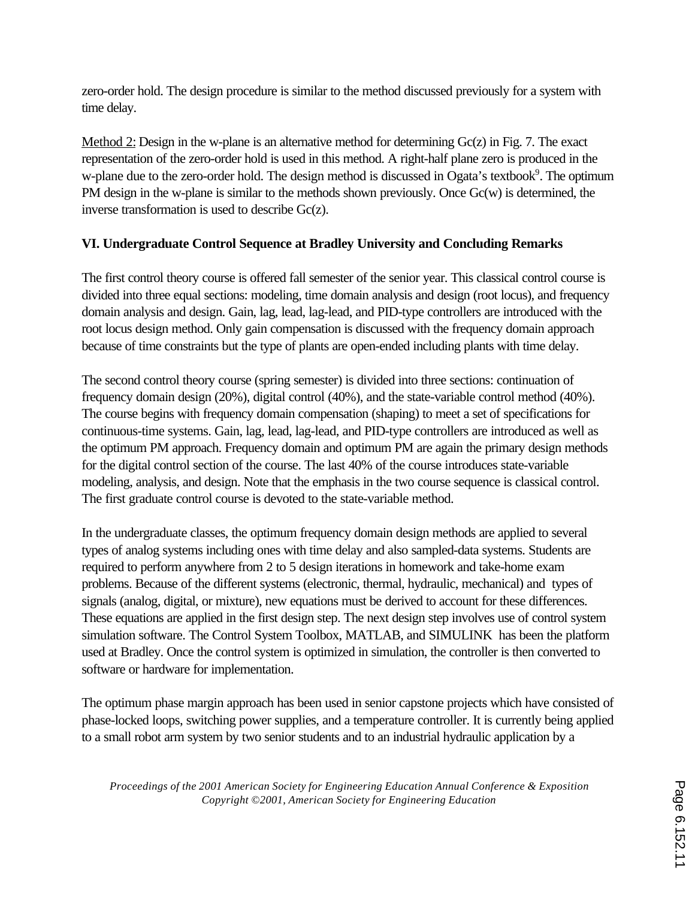zero-order hold. The design procedure is similar to the method discussed previously for a system with time delay.

Method 2: Design in the w-plane is an alternative method for determining Gc(z) in Fig. 7. The exact representation of the zero-order hold is used in this method. A right-half plane zero is produced in the w-plane due to the zero-order hold. The design method is discussed in Ogata's textbook<sup>9</sup>. The optimum PM design in the w-plane is similar to the methods shown previously. Once Gc(w) is determined, the inverse transformation is used to describe Gc(z).

## **VI. Undergraduate Control Sequence at Bradley University and Concluding Remarks**

The first control theory course is offered fall semester of the senior year. This classical control course is divided into three equal sections: modeling, time domain analysis and design (root locus), and frequency domain analysis and design. Gain, lag, lead, lag-lead, and PID-type controllers are introduced with the root locus design method. Only gain compensation is discussed with the frequency domain approach because of time constraints but the type of plants are open-ended including plants with time delay.

The second control theory course (spring semester) is divided into three sections: continuation of frequency domain design (20%), digital control (40%), and the state-variable control method (40%). The course begins with frequency domain compensation (shaping) to meet a set of specifications for continuous-time systems. Gain, lag, lead, lag-lead, and PID-type controllers are introduced as well as the optimum PM approach. Frequency domain and optimum PM are again the primary design methods for the digital control section of the course. The last 40% of the course introduces state-variable modeling, analysis, and design. Note that the emphasis in the two course sequence is classical control. The first graduate control course is devoted to the state-variable method.

In the undergraduate classes, the optimum frequency domain design methods are applied to several types of analog systems including ones with time delay and also sampled-data systems. Students are required to perform anywhere from 2 to 5 design iterations in homework and take-home exam problems. Because of the different systems (electronic, thermal, hydraulic, mechanical) and types of signals (analog, digital, or mixture), new equations must be derived to account for these differences. These equations are applied in the first design step. The next design step involves use of control system simulation software. The Control System Toolbox, MATLAB, and SIMULINK has been the platform used at Bradley. Once the control system is optimized in simulation, the controller is then converted to software or hardware for implementation.

The optimum phase margin approach has been used in senior capstone projects which have consisted of phase-locked loops, switching power supplies, and a temperature controller. It is currently being applied to a small robot arm system by two senior students and to an industrial hydraulic application by a